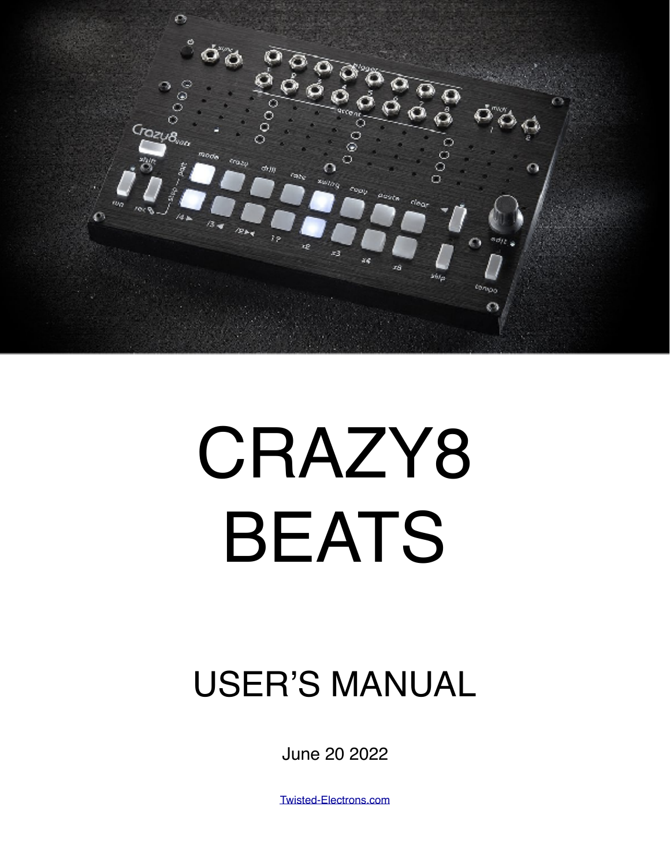

# CRAZY8 BEATS

### USER'S MANUAL

June 20 2022

[Twisted-Electrons.com](http://Twisted-Electrons.com)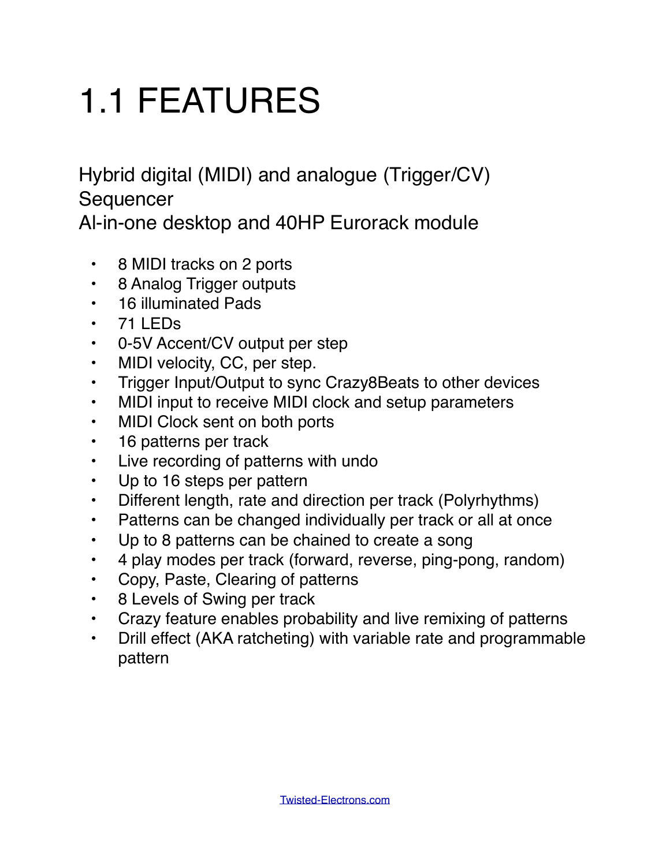## 1.1 FEATURES

Hybrid digital (MIDI) and analogue (Trigger/CV) **Sequencer** 

Al-in-one desktop and 40HP Eurorack module

- 8 MIDI tracks on 2 ports
- 8 Analog Trigger outputs
- 16 illuminated Pads
- 71 LEDs
- 0-5V Accent/CV output per step
- MIDI velocity, CC, per step.
- Trigger Input/Output to sync Crazy8Beats to other devices
- MIDI input to receive MIDI clock and setup parameters
- MIDI Clock sent on both ports
- 16 patterns per track
- Live recording of patterns with undo
- Up to 16 steps per pattern
- Different length, rate and direction per track (Polyrhythms)
- Patterns can be changed individually per track or all at once
- Up to 8 patterns can be chained to create a song
- 4 play modes per track (forward, reverse, ping-pong, random)
- Copy, Paste, Clearing of patterns
- 8 Levels of Swing per track
- Crazy feature enables probability and live remixing of patterns
- Drill effect (AKA ratcheting) with variable rate and programmable pattern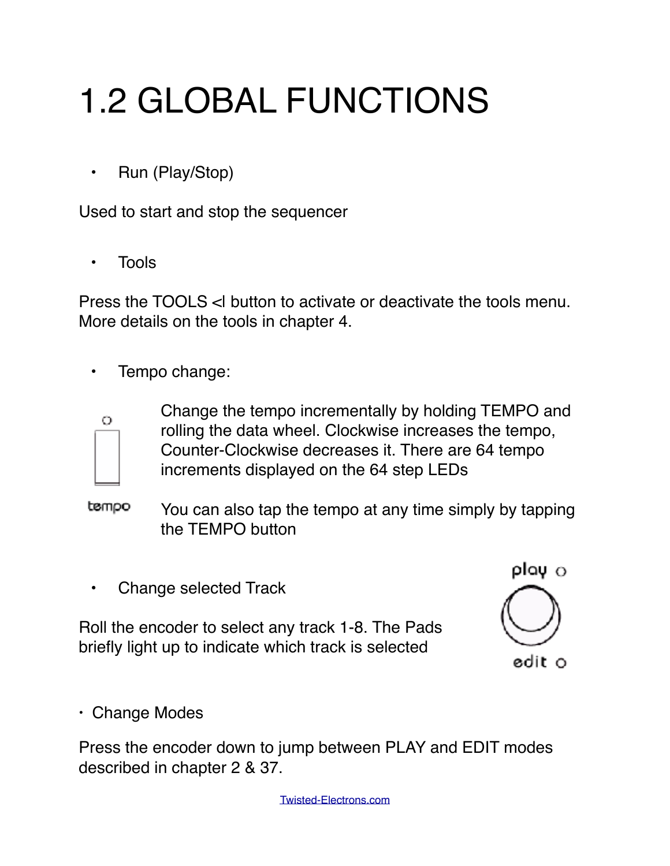# 1.2 GLOBAL FUNCTIONS

• Run (Play/Stop)

Used to start and stop the sequencer

• Tools

Press the TOOLS < button to activate or deactivate the tools menu. More details on the tools in chapter 4.

• Tempo change:



Change the tempo incrementally by holding TEMPO and rolling the data wheel. Clockwise increases the tempo, Counter-Clockwise decreases it. There are 64 tempo increments displayed on the 64 step LEDs

tempo You can also tap the tempo at any time simply by tapping the TEMPO button

• Change selected Track

Roll the encoder to select any track 1-8. The Pads briefly light up to indicate which track is selected

play o edit o

• Change Modes

Press the encoder down to jump between PLAY and EDIT modes described in chapter 2 & 37.

[Twisted-Electrons.com](http://Twisted-Electrons.com)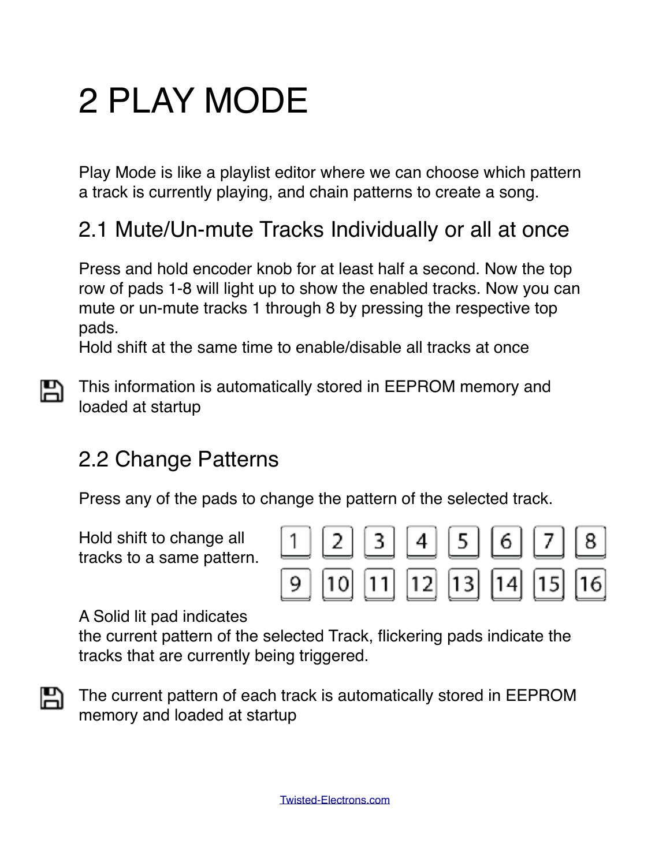### 2 PLAY MODE

Play Mode is like a playlist editor where we can choose which pattern a track is currently playing, and chain patterns to create a song.

#### 2.1 Mute/Un-mute Tracks Individually or all at once

Press and hold encoder knob for at least half a second. Now the top row of pads 1-8 will light up to show the enabled tracks. Now you can mute or un-mute tracks 1 through 8 by pressing the respective top pads.

Hold shift at the same time to enable/disable all tracks at once

А This information is automatically stored in EEPROM memory and loaded at startup

#### 2.2 Change Patterns

Press any of the pads to change the pattern of the selected track.

Hold shift to change all tracks to a same pattern.



A Solid lit pad indicates

the current pattern of the selected Track, flickering pads indicate the tracks that are currently being triggered.



The current pattern of each track is automatically stored in EEPROM memory and loaded at startup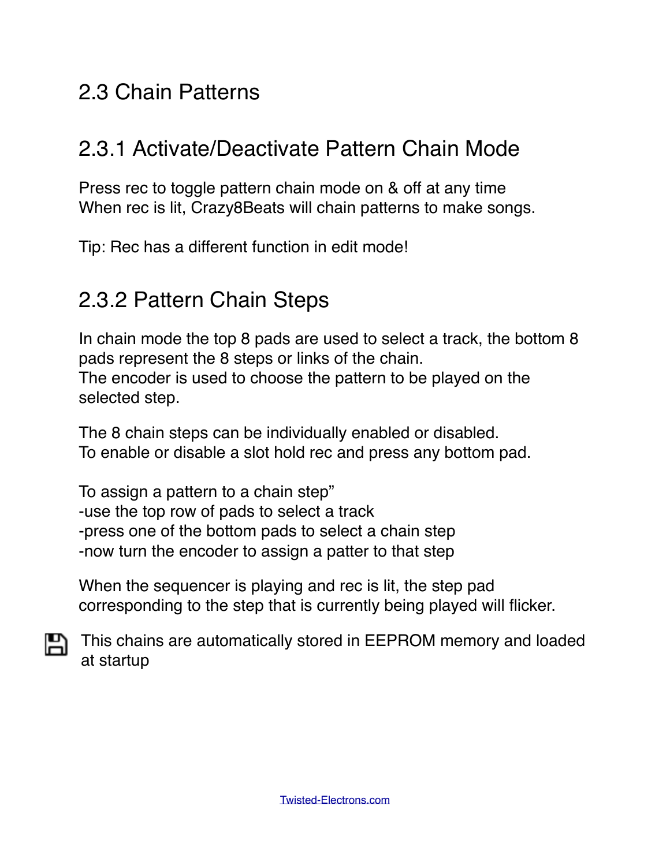#### 2.3 Chain Patterns

#### 2.3.1 Activate/Deactivate Pattern Chain Mode

Press rec to toggle pattern chain mode on & off at any time When rec is lit, Crazy8Beats will chain patterns to make songs.

Tip: Rec has a different function in edit mode!

#### 2.3.2 Pattern Chain Steps

In chain mode the top 8 pads are used to select a track, the bottom 8 pads represent the 8 steps or links of the chain. The encoder is used to choose the pattern to be played on the selected step.

The 8 chain steps can be individually enabled or disabled. To enable or disable a slot hold rec and press any bottom pad.

To assign a pattern to a chain step" -use the top row of pads to select a track -press one of the bottom pads to select a chain step -now turn the encoder to assign a patter to that step

When the sequencer is playing and rec is lit, the step pad corresponding to the step that is currently being played will flicker.

**This chains are automatically stored in EEPROM memory and loaded** at startup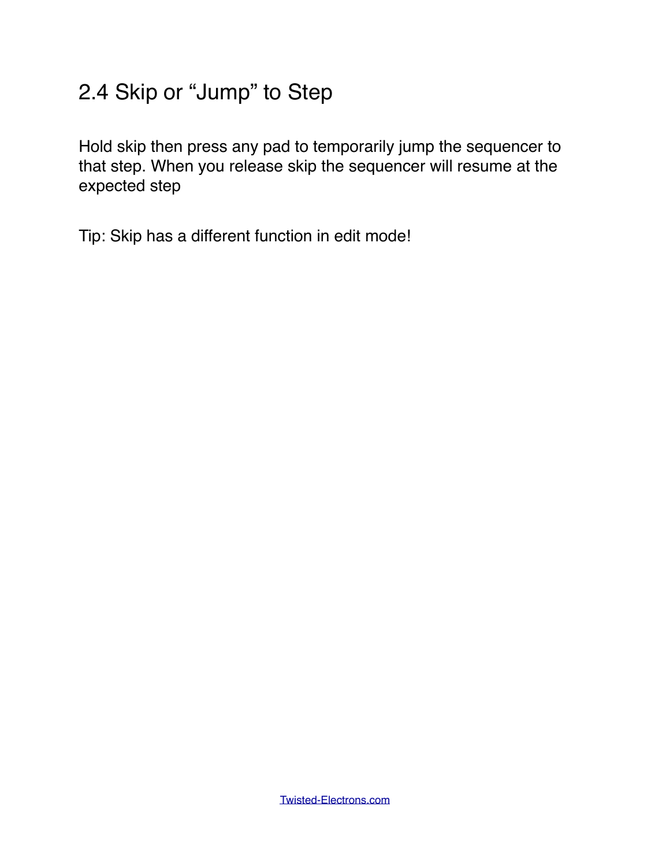#### 2.4 Skip or "Jump" to Step

Hold skip then press any pad to temporarily jump the sequencer to that step. When you release skip the sequencer will resume at the expected step

Tip: Skip has a different function in edit mode!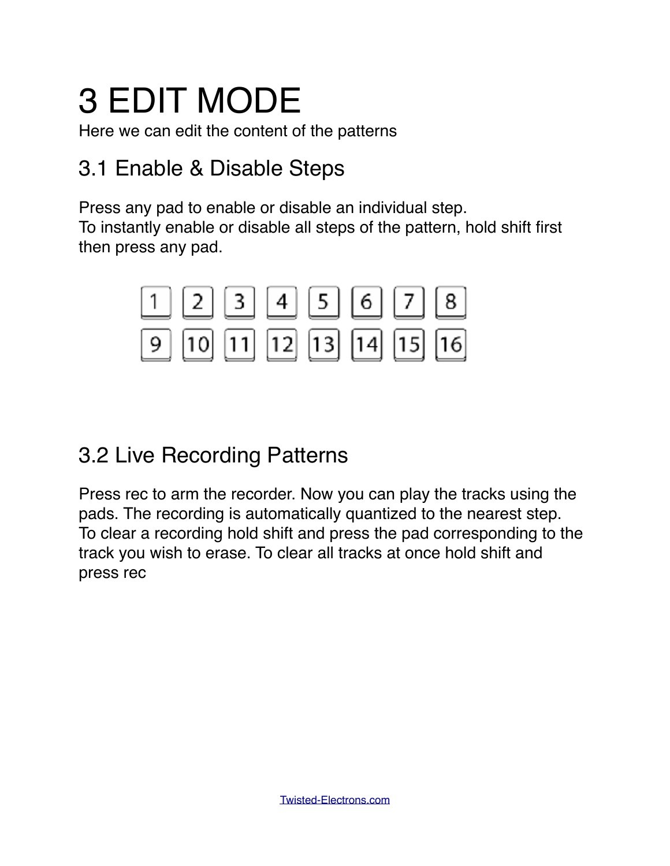### 3 EDIT MODE

Here we can edit the content of the patterns

#### 3.1 Enable & Disable Steps

Press any pad to enable or disable an individual step. To instantly enable or disable all steps of the pattern, hold shift first then press any pad.



#### 3.2 Live Recording Patterns

Press rec to arm the recorder. Now you can play the tracks using the pads. The recording is automatically quantized to the nearest step. To clear a recording hold shift and press the pad corresponding to the track you wish to erase. To clear all tracks at once hold shift and press rec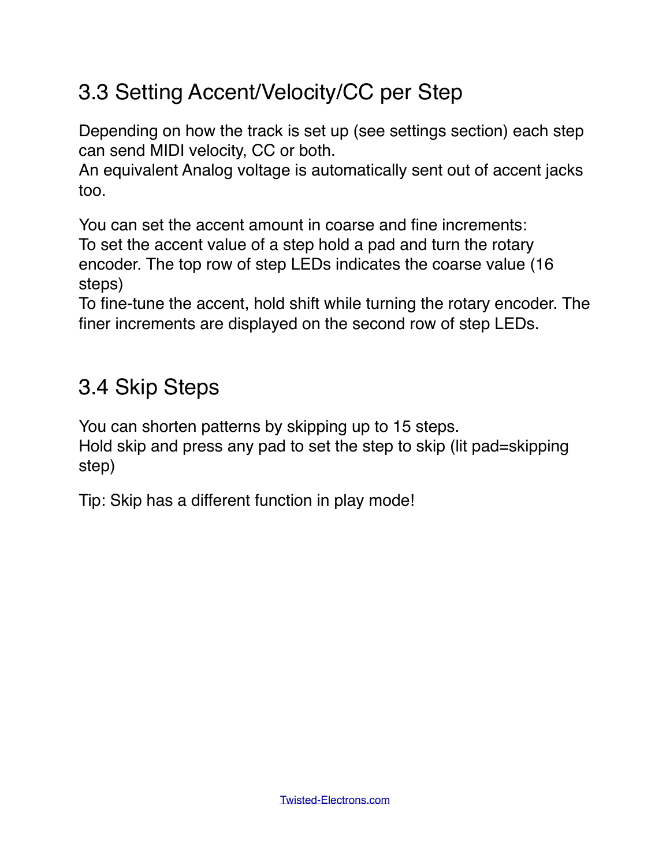#### 3.3 Setting Accent/Velocity/CC per Step

Depending on how the track is set up (see settings section) each step can send MIDI velocity, CC or both.

An equivalent Analog voltage is automatically sent out of accent jacks too.

You can set the accent amount in coarse and fine increments: To set the accent value of a step hold a pad and turn the rotary encoder. The top row of step LEDs indicates the coarse value (16 steps)

To fine-tune the accent, hold shift while turning the rotary encoder. The finer increments are displayed on the second row of step LEDs.

#### 3.4 Skip Steps

You can shorten patterns by skipping up to 15 steps.

Hold skip and press any pad to set the step to skip (lit pad=skipping step)

Tip: Skip has a different function in play mode!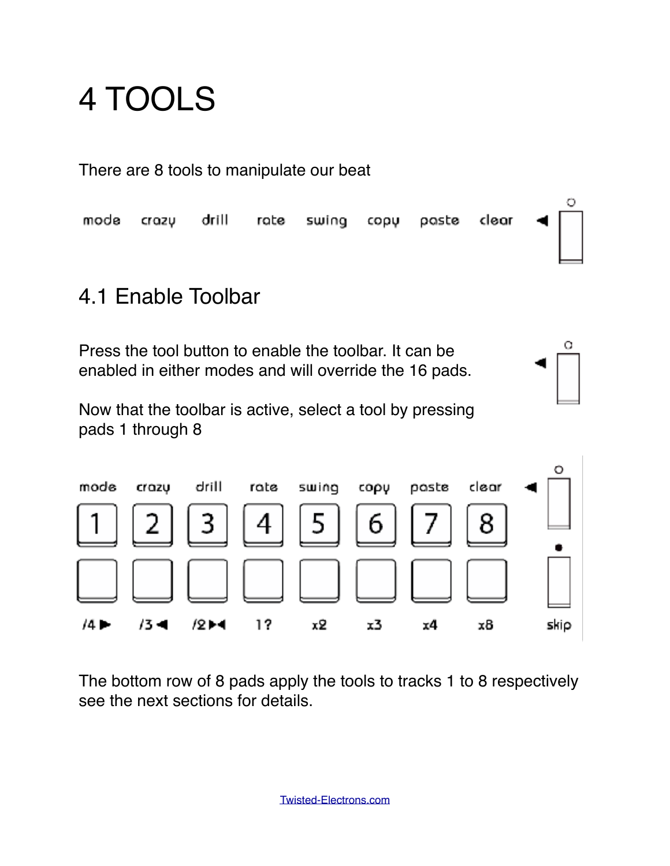### 4 TOOLS

There are 8 tools to manipulate our beat

Ω mode drill clear crazy rate swing copu paste

о

#### 4.1 Enable Toolbar

Press the tool button to enable the toolbar. It can be enabled in either modes and will override the 16 pads.

Now that the toolbar is active, select a tool by pressing pads 1 through 8



The bottom row of 8 pads apply the tools to tracks 1 to 8 respectively see the next sections for details.

[Twisted-Electrons.com](http://Twisted-Electrons.com)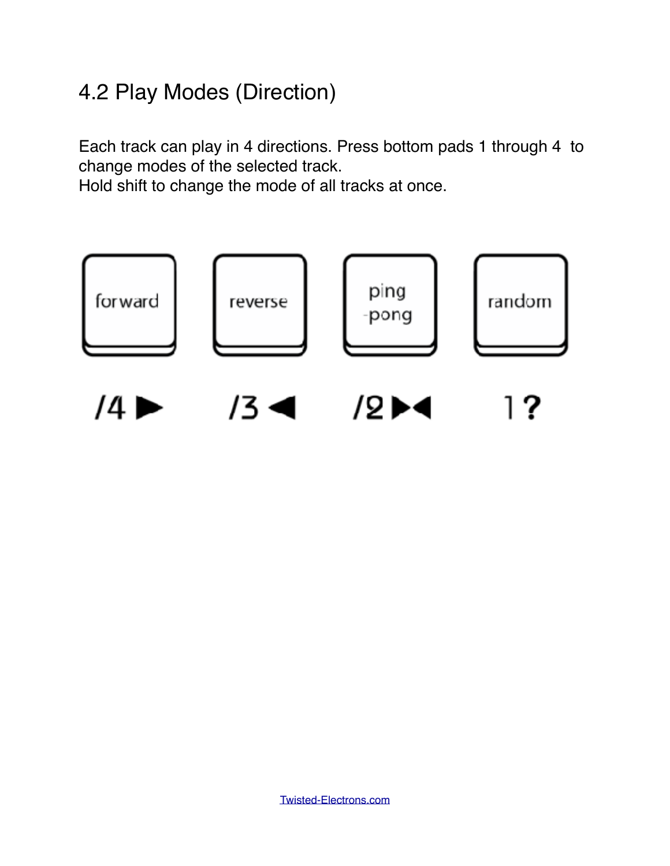#### 4.2 Play Modes (Direction)

Each track can play in 4 directions. Press bottom pads 1 through 4 to change modes of the selected track.

Hold shift to change the mode of all tracks at once.

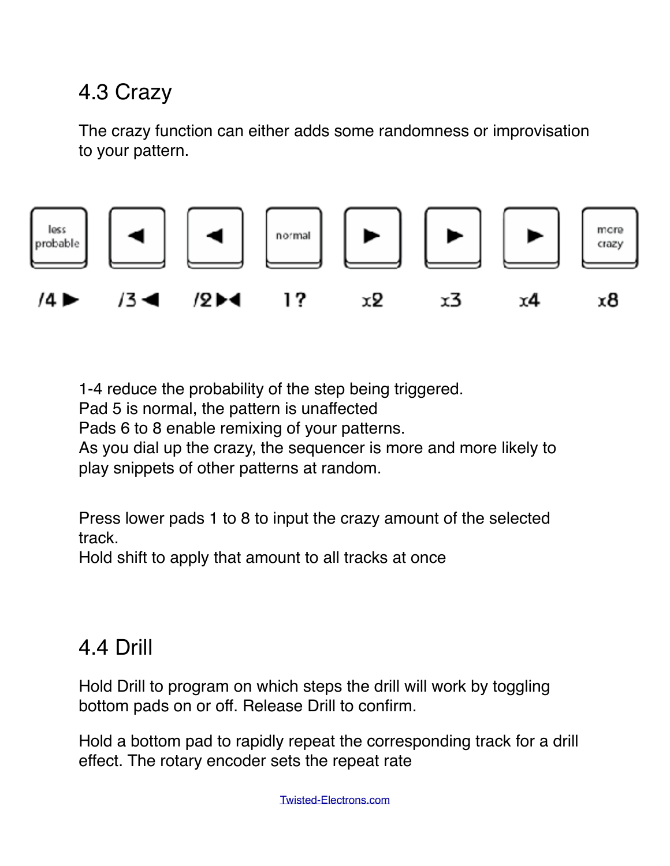#### 4.3 Crazy

The crazy function can either adds some randomness or improvisation to your pattern.



1-4 reduce the probability of the step being triggered.

Pad 5 is normal, the pattern is unaffected

Pads 6 to 8 enable remixing of your patterns.

As you dial up the crazy, the sequencer is more and more likely to play snippets of other patterns at random.

Press lower pads 1 to 8 to input the crazy amount of the selected track.

Hold shift to apply that amount to all tracks at once

#### 4.4 Drill

Hold Drill to program on which steps the drill will work by toggling bottom pads on or off. Release Drill to confirm.

Hold a bottom pad to rapidly repeat the corresponding track for a drill effect. The rotary encoder sets the repeat rate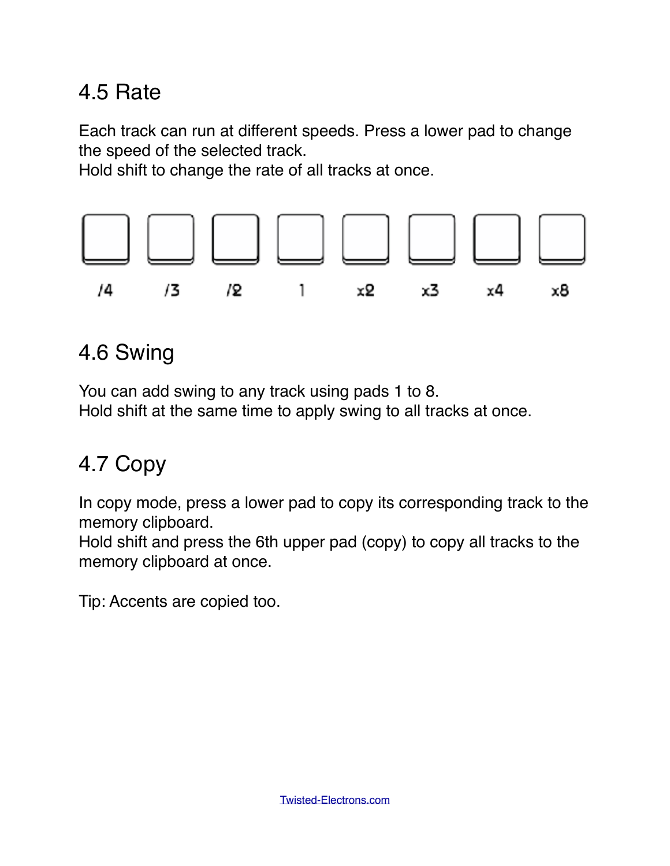#### 4.5 Rate

Each track can run at different speeds. Press a lower pad to change the speed of the selected track.

Hold shift to change the rate of all tracks at once.



#### 4.6 Swing

You can add swing to any track using pads 1 to 8. Hold shift at the same time to apply swing to all tracks at once.

#### 4.7 Copy

In copy mode, press a lower pad to copy its corresponding track to the memory clipboard.

Hold shift and press the 6th upper pad (copy) to copy all tracks to the memory clipboard at once.

Tip: Accents are copied too.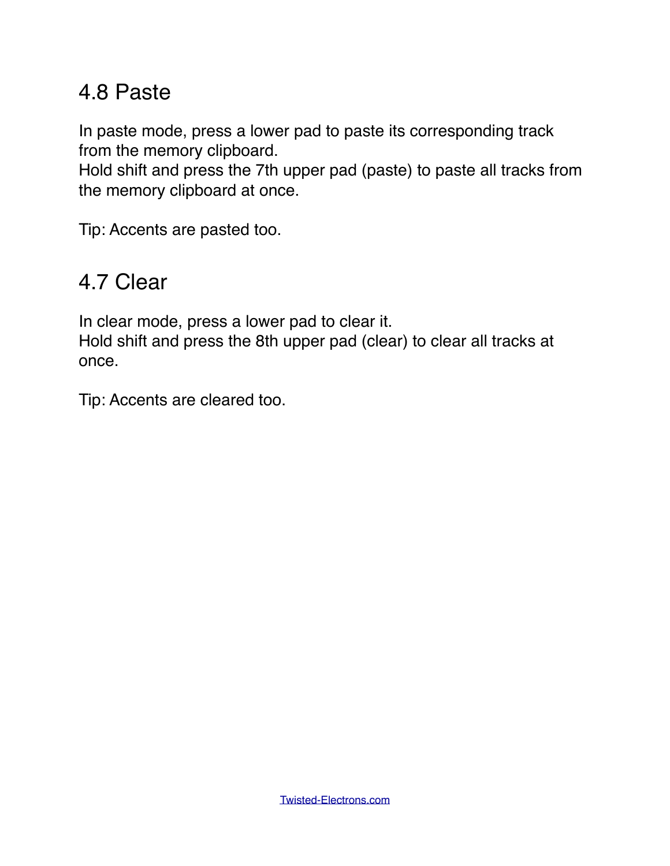#### 4.8 Paste

In paste mode, press a lower pad to paste its corresponding track from the memory clipboard.

Hold shift and press the 7th upper pad (paste) to paste all tracks from the memory clipboard at once.

Tip: Accents are pasted too.

#### 4.7 Clear

In clear mode, press a lower pad to clear it.

Hold shift and press the 8th upper pad (clear) to clear all tracks at once.

Tip: Accents are cleared too.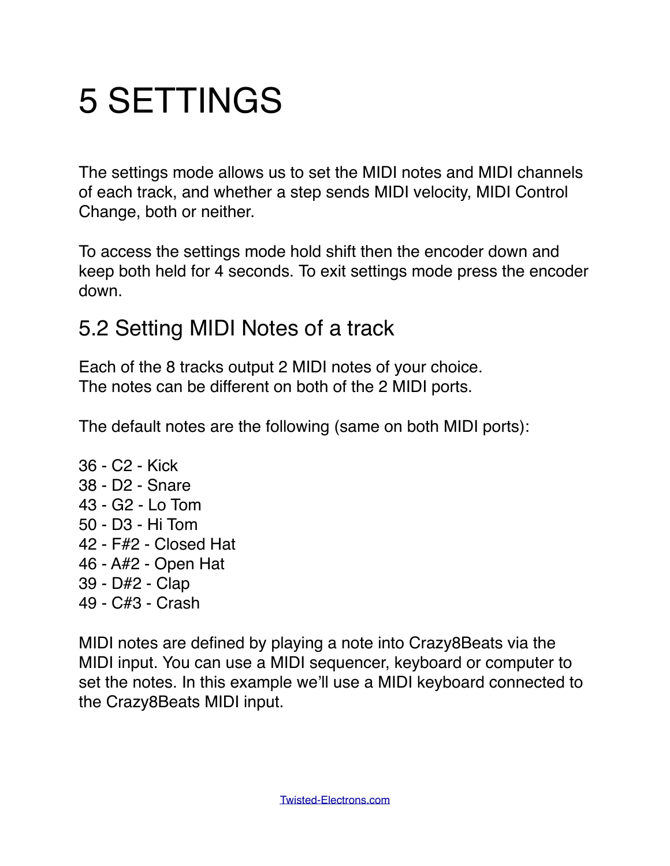### 5 SETTINGS

The settings mode allows us to set the MIDI notes and MIDI channels of each track, and whether a step sends MIDI velocity, MIDI Control Change, both or neither.

To access the settings mode hold shift then the encoder down and keep both held for 4 seconds. To exit settings mode press the encoder down.

#### 5.2 Setting MIDI Notes of a track

Each of the 8 tracks output 2 MIDI notes of your choice. The notes can be different on both of the 2 MIDI ports.

The default notes are the following (same on both MIDI ports):

36 - C2 - Kick 38 - D2 - Snare 43 - G2 - Lo Tom 50 - D3 - Hi Tom 42 - F#2 - Closed Hat 46 - A#2 - Open Hat 39 - D#2 - Clap 49 - C#3 - Crash

MIDI notes are defined by playing a note into Crazy8Beats via the MIDI input. You can use a MIDI sequencer, keyboard or computer to set the notes. In this example we'll use a MIDI keyboard connected to the Crazy8Beats MIDI input.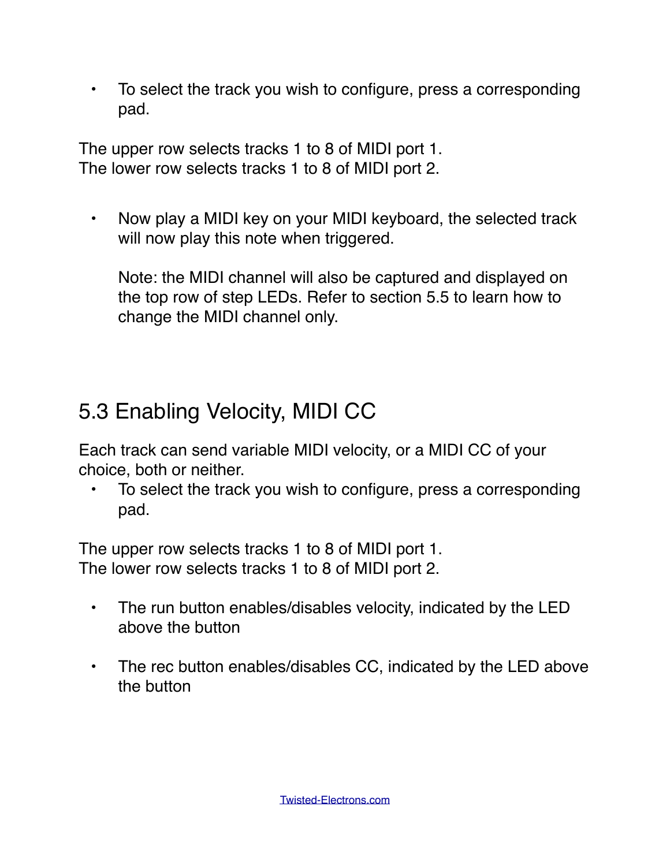• To select the track you wish to configure, press a corresponding pad.

The upper row selects tracks 1 to 8 of MIDI port 1. The lower row selects tracks 1 to 8 of MIDI port 2.

• Now play a MIDI key on your MIDI keyboard, the selected track will now play this note when triggered.

Note: the MIDI channel will also be captured and displayed on the top row of step LEDs. Refer to section 5.5 to learn how to change the MIDI channel only.

#### 5.3 Enabling Velocity, MIDI CC

Each track can send variable MIDI velocity, or a MIDI CC of your choice, both or neither.

• To select the track you wish to configure, press a corresponding pad.

The upper row selects tracks 1 to 8 of MIDI port 1. The lower row selects tracks 1 to 8 of MIDI port 2.

- The run button enables/disables velocity, indicated by the LED above the button
- The rec button enables/disables CC, indicated by the LED above the button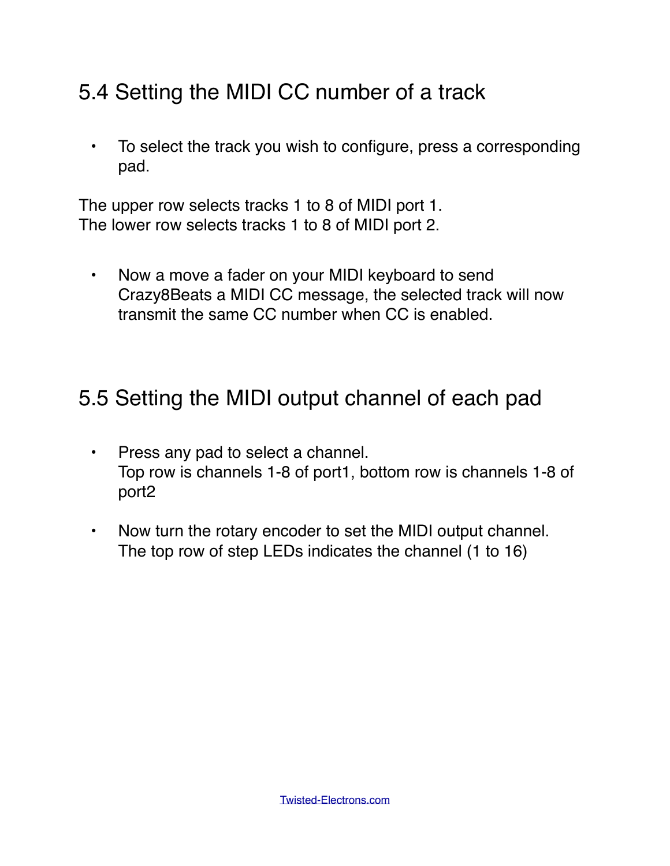#### 5.4 Setting the MIDI CC number of a track

• To select the track you wish to configure, press a corresponding pad.

The upper row selects tracks 1 to 8 of MIDI port 1. The lower row selects tracks 1 to 8 of MIDI port 2.

• Now a move a fader on your MIDI keyboard to send Crazy8Beats a MIDI CC message, the selected track will now transmit the same CC number when CC is enabled.

#### 5.5 Setting the MIDI output channel of each pad

- Press any pad to select a channel. Top row is channels 1-8 of port1, bottom row is channels 1-8 of port2
- Now turn the rotary encoder to set the MIDI output channel. The top row of step LEDs indicates the channel (1 to 16)